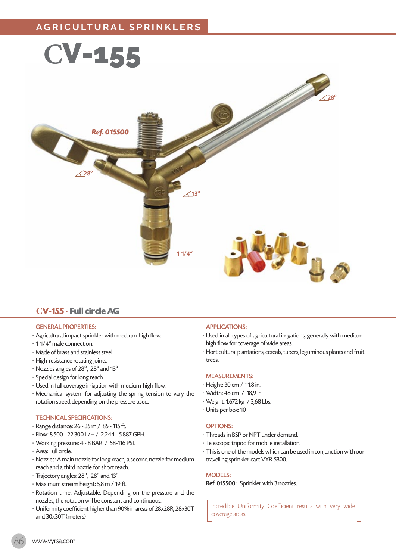

# **CV-155** · **Full circle AG**

# GENERAL PROPERTIES:

- · Agricultural impact sprinkler with medium-high flow.
- · 1 1/4" male connection.
- · Made of brass and stainless steel.
- · High-resistance rotating joints.
- · Nozzles angles of 28º, 28º and 13º
- · Special design for long reach.
- · Used in full coverage irrigation with medium-high flow.
- · Mechanical system for adjusting the spring tension to vary the rotation speed depending on the pressure used.

### TECHNICAL SPECIFICATIONS:

- · Range distance: 26 35 m / 85 115 ft.
- · Flow: 8.500 22.300 L/H / 2.244 5.887 GPH.
- · Working pressure: 4 8 BAR / 58-116 PSI.
- · Area: Full circle.
- · Nozzles: A main nozzle for long reach, a second nozzle for medium reach and a third nozzle for short reach.
- · Trajectory angles: 28º, 28º and 13º
- · Maximum stream height: 5,8 m / 19 ft.
- · Rotation time: Adjustable. Depending on the pressure and the nozzles, the rotation will be constant and continuous.
- · Uniformity coefficient higher than 90% in areas of 28x28R, 28x30T and 30x30T (meters)

#### APPLICATIONS:

- · Used in all types of agricultural irrigations, generally with mediumhigh flow for coverage of wide areas.
- · Horticultural plantations, cereals, tubers, leguminous plants and fruit trees.

#### MEASUREMENTS:

- · Height: 30 cm / 11,8 in.
- · Width: 48 cm / 18,9 in.
- · Weight: 1.672 kg / 3,68 Lbs.
- · Units per box: 10

#### OPTIONS:

- · Threads in BSP or NPT under demand.
- · Telescopic tripod for mobile installation.
- · This is one of the models which can be used in conjunction with our travelling sprinkler cart VYR-5300.

#### MODELS:

Ref. 015500: Sprinkler with 3 nozzles.

Incredible Uniformity Coefficient results with very wide coverage areas.